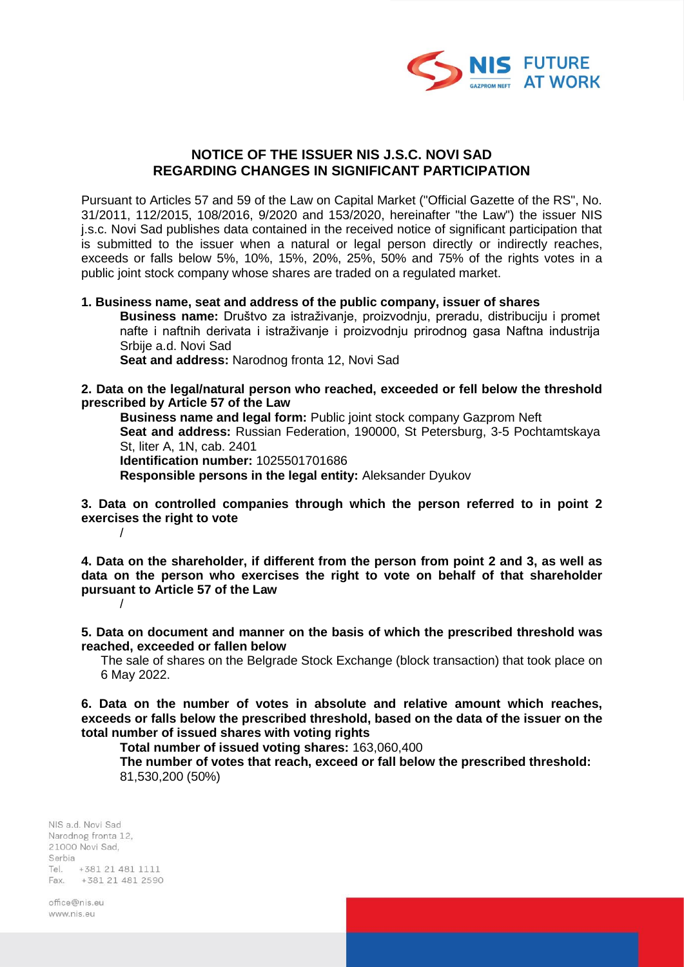

## **NOTICE OF THE ISSUER NIS J.S.C. NOVI SAD REGARDING CHANGES IN SIGNIFICANT PARTICIPATION**

Pursuant to Articles 57 and 59 of the Law on Capital Market ("Official Gazette of the RS", No. 31/2011, 112/2015, 108/2016, 9/2020 and 153/2020, hereinafter "the Law") the issuer NIS j.s.c. Novi Sad publishes data contained in the received notice of significant participation that is submitted to the issuer when a natural or legal person directly or indirectly reaches, exceeds or falls below 5%, 10%, 15%, 20%, 25%, 50% and 75% of the rights votes in a public joint stock company whose shares are traded on a regulated market.

## **1. Business name, seat and address of the public company, issuer of shares**

**Business name:** Društvo za istraživanje, proizvodnju, preradu, distribuciju i promet nafte i naftnih derivata i istraživanje i proizvodnju prirodnog gasa Naftna industrija Srbije a.d. Novi Sad

**Seat and address:** Narodnog fronta 12, Novi Sad

## **2. Data on the legal/natural person who reached, exceeded or fell below the threshold prescribed by Article 57 of the Law**

**Business name and legal form:** Public joint stock company Gazprom Neft **Seat and address:** Russian Federation, 190000, St Petersburg, 3-5 Pochtamtskaya St, liter A, 1N, cab. 2401 **Identification number:** 1025501701686

**Responsible persons in the legal entity:** Aleksander Dyukov

**3. Data on controlled companies through which the person referred to in point 2 exercises the right to vote** /

**4. Data on the shareholder, if different from the person from point 2 and 3, as well as data on the person who exercises the right to vote on behalf of that shareholder pursuant to Article 57 of the Law** /

**5. Data on document and manner on the basis of which the prescribed threshold was reached, exceeded or fallen below**

The sale of shares on the Belgrade Stock Exchange (block transaction) that took place on 6 May 2022.

**6. Data on the number of votes in absolute and relative amount which reaches, exceeds or falls below the prescribed threshold, based on the data of the issuer on the total number of issued shares with voting rights**

**Total number of issued voting shares:** 163,060,400

**The number of votes that reach, exceed or fall below the prescribed threshold:** 81,530,200 (50%)

NIS a.d. Novi Sad Narodnog fronta 12, 21000 Novi Sad. Serbia Tel. +381 21 481 1111 Fax. +381 21 481 2590

office@nis.eu www.nis.eu